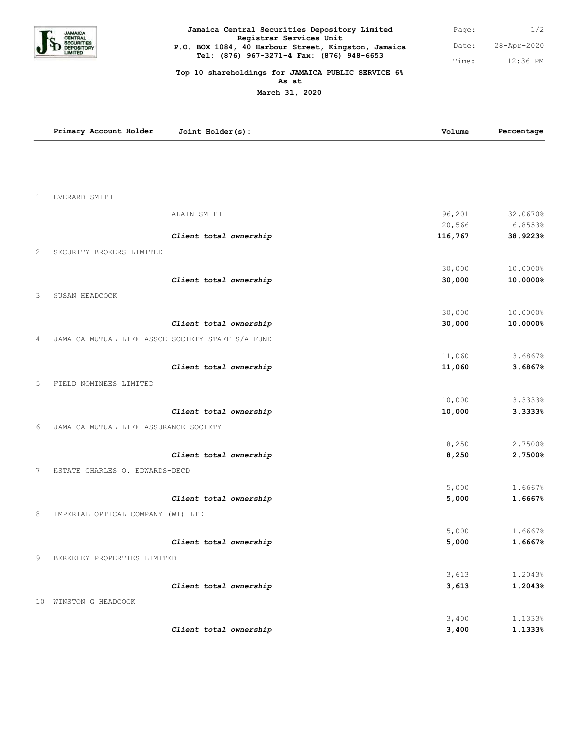

## **Jamaica Central Securities Depository Limited Registrar Services Unit P.O. BOX 1084, 40 Harbour Street, Kingston, Jamaica Tel: (876) 967-3271-4 Fax: (876) 948-6653**

| Page: | 1/2         |
|-------|-------------|
| Date: | 28-Apr-2020 |
| Time: | $12:36$ PM  |

## **Top 10 shareholdings for JAMAICA PUBLIC SERVICE 6% As at**

**March 31, 2020**

|              | Primary Account Holder                           | Joint Holder(s):       | Volume           | Percentage         |
|--------------|--------------------------------------------------|------------------------|------------------|--------------------|
|              |                                                  |                        |                  |                    |
|              |                                                  |                        |                  |                    |
|              |                                                  |                        |                  |                    |
| $\mathbf{1}$ | <b>EVERARD SMITH</b>                             |                        |                  |                    |
|              |                                                  | ALAIN SMITH            | 96,201           | 32.0670%           |
|              |                                                  |                        | 20,566           | 6.8553%            |
|              |                                                  | Client total ownership | 116,767          | 38.9223%           |
| 2            | SECURITY BROKERS LIMITED                         |                        |                  |                    |
|              |                                                  |                        | 30,000           | 10.0000%           |
|              |                                                  | Client total ownership | 30,000           | 10.0000%           |
| 3            | SUSAN HEADCOCK                                   |                        |                  |                    |
|              |                                                  |                        |                  | 10.0000%           |
|              |                                                  | Client total ownership | 30,000<br>30,000 | 10.0000%           |
|              |                                                  |                        |                  |                    |
| 4            | JAMAICA MUTUAL LIFE ASSCE SOCIETY STAFF S/A FUND |                        |                  |                    |
|              |                                                  |                        | 11,060           | 3.6867%            |
|              |                                                  | Client total ownership | 11,060           | 3.6867%            |
| 5            | FIELD NOMINEES LIMITED                           |                        |                  |                    |
|              |                                                  |                        | 10,000           | 3.3333%            |
|              |                                                  | Client total ownership | 10,000           | 3.3333%            |
| 6            | JAMAICA MUTUAL LIFE ASSURANCE SOCIETY            |                        |                  |                    |
|              |                                                  |                        |                  |                    |
|              |                                                  | Client total ownership | 8,250<br>8,250   | 2.7500%<br>2.7500% |
|              |                                                  |                        |                  |                    |
| 7            | ESTATE CHARLES O. EDWARDS-DECD                   |                        |                  |                    |
|              |                                                  |                        | 5,000            | 1.6667%            |
|              |                                                  | Client total ownership | 5,000            | 1.6667%            |
| 8            | IMPERIAL OPTICAL COMPANY (WI) LTD                |                        |                  |                    |
|              |                                                  |                        | 5,000            | 1.6667%            |
|              |                                                  | Client total ownership | 5,000            | 1.6667%            |
| 9            | BERKELEY PROPERTIES LIMITED                      |                        |                  |                    |
|              |                                                  |                        |                  |                    |
|              |                                                  | Client total ownership | 3,613<br>3,613   | 1.2043%<br>1.2043% |
|              |                                                  |                        |                  |                    |
|              | 10 WINSTON G HEADCOCK                            |                        |                  |                    |
|              |                                                  |                        | 3,400            | 1.1333%            |
|              |                                                  | Client total ownership | 3,400            | 1.1333%            |